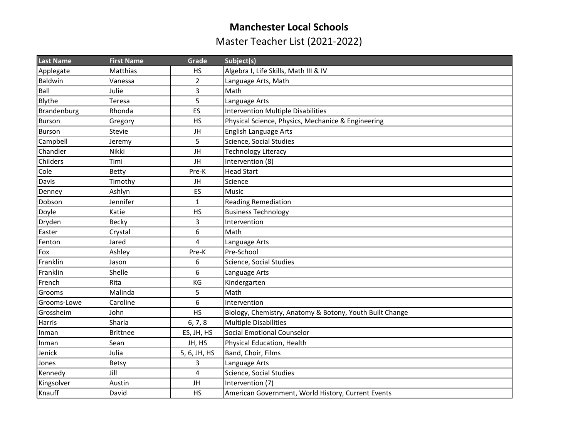## **Manchester Local Schools**

Master Teacher List (2021-2022)

| <b>Last Name</b> | <b>First Name</b> | Grade          | Subject(s)                                               |
|------------------|-------------------|----------------|----------------------------------------------------------|
| Applegate        | Matthias          | HS             | Algebra I, Life Skills, Math III & IV                    |
| Baldwin          | Vanessa           | $\overline{2}$ | Language Arts, Math                                      |
| Ball             | Julie             | $\overline{3}$ | Math                                                     |
| <b>Blythe</b>    | Teresa            | 5              | Language Arts                                            |
| Brandenburg      | Rhonda            | ES             | <b>Intervention Multiple Disabilities</b>                |
| Burson           | Gregory           | HS             | Physical Science, Physics, Mechanice & Engineering       |
| <b>Burson</b>    | Stevie            | JH             | <b>English Language Arts</b>                             |
| Campbell         | Jeremy            | 5              | Science, Social Studies                                  |
| Chandler         | Nikki             | JH             | <b>Technology Literacy</b>                               |
| Childers         | Timi              | JH             | Intervention (8)                                         |
| Cole             | <b>Betty</b>      | Pre-K          | <b>Head Start</b>                                        |
| Davis            | Timothy           | JH             | Science                                                  |
| Denney           | Ashlyn            | ES             | <b>Music</b>                                             |
| Dobson           | Jennifer          | $\mathbf{1}$   | <b>Reading Remediation</b>                               |
| Doyle            | Katie             | HS             | <b>Business Technology</b>                               |
| Dryden           | Becky             | 3              | Intervention                                             |
| Easter           | Crystal           | 6              | Math                                                     |
| Fenton           | Jared             | 4              | Language Arts                                            |
| Fox              | Ashley            | Pre-K          | Pre-School                                               |
| Franklin         | Jason             | 6              | Science, Social Studies                                  |
| Franklin         | Shelle            | 6              | Language Arts                                            |
| French           | Rita              | KG             | Kindergarten                                             |
| Grooms           | Malinda           | 5              | Math                                                     |
| Grooms-Lowe      | Caroline          | 6              | Intervention                                             |
| Grossheim        | John              | <b>HS</b>      | Biology, Chemistry, Anatomy & Botony, Youth Built Change |
| Harris           | Sharla            | 6, 7, 8        | <b>Multiple Disabilities</b>                             |
| Inman            | <b>Brittnee</b>   | ES, JH, HS     | Social Emotional Counselor                               |
| Inman            | Sean              | JH, HS         | Physical Education, Health                               |
| Jenick           | Julia             | 5, 6, JH, HS   | Band, Choir, Films                                       |
| Jones            | Betsy             | 3              | Language Arts                                            |
| Kennedy          | Jill              | $\overline{4}$ | Science, Social Studies                                  |
| Kingsolver       | Austin            | JH             | Intervention (7)                                         |
| Knauff           | David             | <b>HS</b>      | American Government, World History, Current Events       |